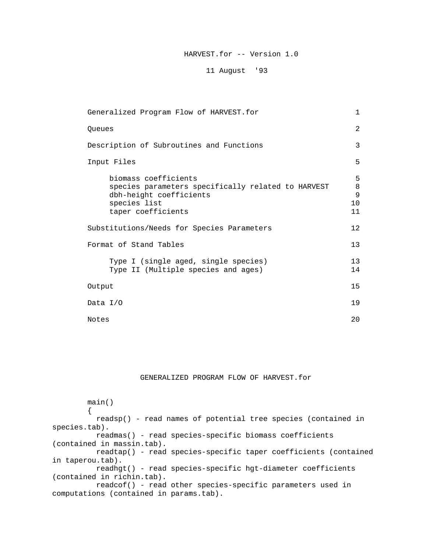# HARVEST.for -- Version 1.0

## 11 August '93

| Generalized Program Flow of HARVEST.for                                                                                                     | $\mathbf{1}$                  |
|---------------------------------------------------------------------------------------------------------------------------------------------|-------------------------------|
| Oueues                                                                                                                                      | 2                             |
| Description of Subroutines and Functions                                                                                                    | 3                             |
| Input Files                                                                                                                                 | 5                             |
| biomass coefficients<br>species parameters specifically related to HARVEST<br>dbh-height coefficients<br>species list<br>taper coefficients | 5<br>$\,8\,$<br>9<br>10<br>11 |
| Substitutions/Needs for Species Parameters                                                                                                  | 12                            |
| Format of Stand Tables                                                                                                                      | 13                            |
| Type I (single aged, single species)<br>Type II (Multiple species and ages)                                                                 | 13<br>14                      |
| Output                                                                                                                                      | 15                            |
| Data $I/O$                                                                                                                                  | 19                            |
| Notes                                                                                                                                       | 20                            |

## GENERALIZED PROGRAM FLOW OF HARVEST.for

 main() { readsp() - read names of potential tree species (contained in species.tab). readmas() - read species-specific biomass coefficients (contained in massin.tab). readtap() - read species-specific taper coefficients (contained in taperou.tab). readhgt() - read species-specific hgt-diameter coefficients (contained in richin.tab). readcof() - read other species-specific parameters used in computations (contained in params.tab).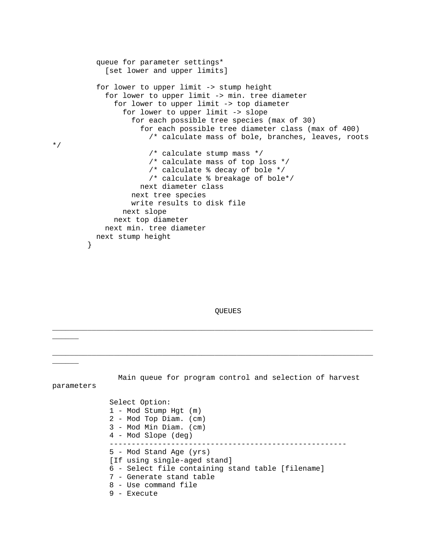```
 queue for parameter settings*
             [set lower and upper limits]
           for lower to upper limit -> stump height
             for lower to upper limit -> min. tree diameter
               for lower to upper limit -> top diameter
                 for lower to upper limit -> slope
                   for each possible tree species (max of 30)
                     for each possible tree diameter class (max of 400)
                       /* calculate mass of bole, branches, leaves, roots 
                       /* calculate stump mass */
                       /* calculate mass of top loss */
                      /* calculate % decay of bole */
                      /* calculate % breakage of bole*/ 
                     next diameter class
                   next tree species
                   write results to disk file
                 next slope
               next top diameter
             next min. tree diameter
        next stump height<br>}
 }
```
\*/

QUEUES

\_\_\_\_\_\_\_\_\_\_\_\_\_\_\_\_\_\_\_\_\_\_\_\_\_\_\_\_\_\_\_\_\_\_\_\_\_\_\_\_\_\_\_\_\_\_\_\_\_\_\_\_\_\_\_\_\_\_\_\_\_\_\_\_\_\_\_\_\_\_\_\_\_ \_\_\_\_\_\_ \_\_\_\_\_\_\_\_\_\_\_\_\_\_\_\_\_\_\_\_\_\_\_\_\_\_\_\_\_\_\_\_\_\_\_\_\_\_\_\_\_\_\_\_\_\_\_\_\_\_\_\_\_\_\_\_\_\_\_\_\_\_\_\_\_\_\_\_\_\_\_\_\_ \_\_\_\_\_\_ Main queue for program control and selection of harvest parameters Select Option: 1 - Mod Stump Hgt (m) 2 - Mod Top Diam. (cm) 3 - Mod Min Diam. (cm) 4 - Mod Slope (deg) ------------------------------------------------------ 5 - Mod Stand Age (yrs) [If using single-aged stand] 6 - Select file containing stand table [filename] 7 - Generate stand table 8 - Use command file 9 - Execute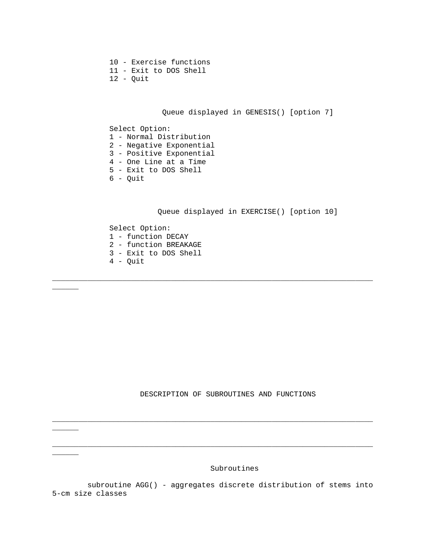10 - Exercise functions 11 - Exit to DOS Shell 12 - Quit

\_\_\_\_\_\_

 $\overline{\phantom{a}}$ 

 $\frac{1}{2}$ 

Queue displayed in GENESIS() [option 7]

 Select Option: 1 - Normal Distribution 2 - Negative Exponential 3 - Positive Exponential 4 - One Line at a Time 5 - Exit to DOS Shell 6 - Quit

Queue displayed in EXERCISE() [option 10]

 Select Option: 1 - function DECAY 2 - function BREAKAGE 3 - Exit to DOS Shell  $4 -$  Quit

\_\_\_\_\_\_\_\_\_\_\_\_\_\_\_\_\_\_\_\_\_\_\_\_\_\_\_\_\_\_\_\_\_\_\_\_\_\_\_\_\_\_\_\_\_\_\_\_\_\_\_\_\_\_\_\_\_\_\_\_\_\_\_\_\_\_\_\_\_\_\_\_\_

DESCRIPTION OF SUBROUTINES AND FUNCTIONS

Subroutines

 subroutine AGG() - aggregates discrete distribution of stems into 5-cm size classes

\_\_\_\_\_\_\_\_\_\_\_\_\_\_\_\_\_\_\_\_\_\_\_\_\_\_\_\_\_\_\_\_\_\_\_\_\_\_\_\_\_\_\_\_\_\_\_\_\_\_\_\_\_\_\_\_\_\_\_\_\_\_\_\_\_\_\_\_\_\_\_\_\_

\_\_\_\_\_\_\_\_\_\_\_\_\_\_\_\_\_\_\_\_\_\_\_\_\_\_\_\_\_\_\_\_\_\_\_\_\_\_\_\_\_\_\_\_\_\_\_\_\_\_\_\_\_\_\_\_\_\_\_\_\_\_\_\_\_\_\_\_\_\_\_\_\_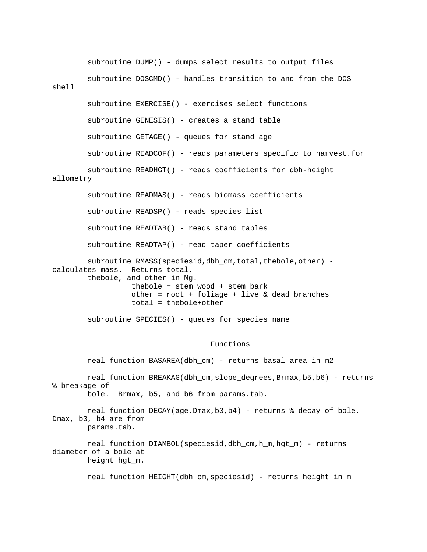|           | subroutine DUMP() - dumps select results to output files                                                                                                                                                                                          |
|-----------|---------------------------------------------------------------------------------------------------------------------------------------------------------------------------------------------------------------------------------------------------|
| shell     | subroutine DOSCMD() - handles transition to and from the DOS                                                                                                                                                                                      |
|           | subroutine EXERCISE() - exercises select functions                                                                                                                                                                                                |
|           | subroutine GENESIS() - creates a stand table                                                                                                                                                                                                      |
|           | subroutine GETAGE() - queues for stand age                                                                                                                                                                                                        |
|           | subroutine READCOF() - reads parameters specific to harvest.for                                                                                                                                                                                   |
| allometry | subroutine READHGT() - reads coefficients for dbh-height                                                                                                                                                                                          |
|           | subroutine READMAS() - reads biomass coefficients                                                                                                                                                                                                 |
|           | subroutine READSP() - reads species list                                                                                                                                                                                                          |
|           | subroutine READTAB() - reads stand tables                                                                                                                                                                                                         |
|           | subroutine READTAP() - read taper coefficients                                                                                                                                                                                                    |
|           | subroutine RMASS(speciesid, dbh_cm, total, thebole, other) -<br>calculates mass. Returns total,<br>thebole, and other in Mg.<br>thebole = $stem$ wood + $stem$ bark<br>other = $root + foliage + live & dead branches$<br>$total = thebole+other$ |
|           | subroutine SPECIES() - queues for species name                                                                                                                                                                                                    |

## Functions

 real function BREAKAG(dbh\_cm,slope\_degrees,Brmax,b5,b6) - returns % breakage of bole. Brmax, b5, and b6 from params.tab. real function DECAY(age,Dmax,b3,b4) - returns % decay of bole. Dmax, b3, b4 are from params.tab. real function DIAMBOL(speciesid,dbh\_cm,h\_m,hgt\_m) - returns diameter of a bole at height hgt\_m. real function HEIGHT(dbh\_cm,speciesid) - returns height in m

real function BASAREA(dbh\_cm) - returns basal area in m2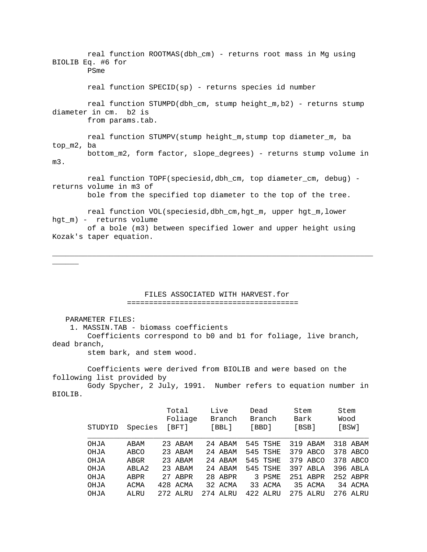real function ROOTMAS(dbh\_cm) - returns root mass in Mg using BIOLIB Eq. #6 for PSme real function SPECID(sp) - returns species id number real function STUMPD(dbh\_cm, stump height\_m,b2) - returns stump diameter in cm. b2 is from params.tab. real function STUMPV(stump height\_m,stump top diameter\_m, ba top\_m2, ba bottom\_m2, form factor, slope\_degrees) - returns stump volume in m3. real function TOPF(speciesid,dbh\_cm, top diameter\_cm, debug) returns volume in m3 of bole from the specified top diameter to the top of the tree. real function VOL(speciesid,dbh\_cm,hgt\_m, upper hgt\_m,lower hgt\_m) - returns volume of a bole (m3) between specified lower and upper height using Kozak's taper equation.

#### FILES ASSOCIATED WITH HARVEST.for =======================================

\_\_\_\_\_\_\_\_\_\_\_\_\_\_\_\_\_\_\_\_\_\_\_\_\_\_\_\_\_\_\_\_\_\_\_\_\_\_\_\_\_\_\_\_\_\_\_\_\_\_\_\_\_\_\_\_\_\_\_\_\_\_\_\_\_\_\_\_\_\_\_\_\_

PARAMETER FILES:

\_\_\_\_\_\_

1. MASSIN.TAB - biomass coefficients

 Coefficients correspond to b0 and b1 for foliage, live branch, dead branch,

stem bark, and stem wood.

 Coefficients were derived from BIOLIB and were based on the following list provided by

 Gody Spycher, 2 July, 1991. Number refers to equation number in BIOLIB.

| STUDYID | Species | Total<br>Foliage<br>$[$ BFT $]$ | Live<br>Branch<br>$[$ BBL $]$ | Dead<br>Branch<br>[BBD] | Stem<br>Bark<br>[BSB] | Stem<br>Wood<br>[BSW] |
|---------|---------|---------------------------------|-------------------------------|-------------------------|-----------------------|-----------------------|
| OHJA    | ABAM    | 23 ABAM                         | 24 ABAM                       | 545 TSHE                | 319 ABAM              | 318 ABAM              |
| OHJA    | ABCO    | 23 ABAM                         | 24 ABAM                       | 545 TSHE                | 379 ABCO              | 378 ABCO              |
| OHJA    | ABGR    | 23 ABAM                         | 24 ABAM                       | 545 TSHE                | 379 ABCO              | 378 ABCO              |
| OHJA    | ABLA2   | 23 ABAM                         | 24 ABAM                       | 545 TSHE                | 397 ABLA              | 396 ABLA              |
| OHJA    | ABPR    | 27 ABPR                         | 28 ABPR                       | 3 PSME                  | 251 ABPR              | 252 ABPR              |
| OHJA    | ACMA    | 428 ACMA                        | 32 ACMA                       | 33 ACMA                 | 35 ACMA               | 34 ACMA               |
| OHJA    | ALRU    | 272 ALRU                        | 274 ALRU                      | 422 ALRU                | 275 ALRU              | 276 ALRU              |
|         |         |                                 |                               |                         |                       |                       |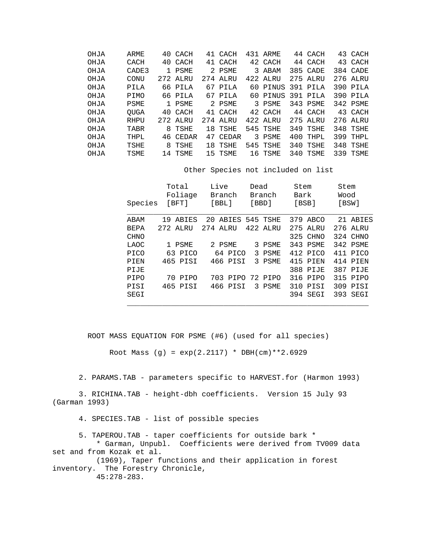| OHJA | ARME        |              | 40 CACH  | 41 CACH  | 431 ARME          |     | 44 CACH  | 43 CACH  |
|------|-------------|--------------|----------|----------|-------------------|-----|----------|----------|
| OHJA | CACH        |              | 40 CACH  | 41 CACH  | 42 CACH           |     | 44 CACH  | 43 CACH  |
| OHJA | CADE3       | $\mathbf{1}$ | PSME     | 2 PSME   | 3 ABAM            |     | 385 CADE | 384 CADE |
| OHJA | CONU        |              | 272 ALRU | 274 ALRU | 422 ALRU          |     | 275 ALRU | 276 ALRU |
| OHJA | PILA        |              | 66 PILA  | 67 PILA  | 60 PINUS 391 PILA |     |          | 390 PILA |
| OHJA | <b>PIMO</b> |              | 66 PILA  | 67 PILA  | 60 PINUS          |     | 391 PILA | 390 PILA |
| OHJA | <b>PSME</b> |              | 1 PSME   | 2 PSME   | 3 PSME            |     | 343 PSME | 342 PSME |
| OHJA | <b>OUGA</b> |              | 40 CACH  | 41 CACH  | 42 CACH           |     | 44 CACH  | 43 CACH  |
| OHJA | RHPU        |              | 272 ALRU | 274 ALRU | 422 ALRU          |     | 275 ALRU | 276 ALRU |
| OHJA | TABR        |              | 8 TSHE   | 18 TSHE  | 545 TSHE          |     | 349 TSHE | 348 TSHE |
| OHJA | THPL        |              | 46 CEDAR | 47 CEDAR | 3 PSME            | 400 | THPL     | 399 THPL |
| OHJA | TSHE        |              | 8 TSHE   | 18 TSHE  | 545 TSHE          |     | 340 TSHE | 348 TSHE |
| OHJA | TSME        | 14           | TSME     | 15 TSME  | 16 TSME           | 340 | TSME     | 339 TSME |
|      |             |              |          |          |                   |     |          |          |

Other Species not included on list

| Species     | Total<br>Foliage<br>[BFT] | Live<br>Branch<br>$[$ BBL $]$ | Dead<br>Branch<br>[BBD] | Stem<br>Bark<br>[BSB] | Stem<br>Wood<br>[BSW] |
|-------------|---------------------------|-------------------------------|-------------------------|-----------------------|-----------------------|
| ABAM        | ABIES<br>19               | 20 ABIES 545 TSHE             |                         | 379 ABCO              | 21 ABIES              |
| BEPA        | 272 ALRU                  | 274 ALRU                      | 422 ALRU                | 275 ALRU              | 276 ALRU              |
| <b>CHNO</b> |                           |                               |                         | 325 CHNO              | 324 CHNO              |
| LAOC        | 1 PSME                    | 2 PSME                        | 3 PSME                  | 343 PSME              | 342 PSME              |
| <b>PICO</b> | 63 PICO                   | 64 PICO                       | 3 PSME                  | 412 PICO              | 411 PICO              |
| PIEN        | 465 PISI                  | 466 PISI                      | 3 PSME                  | 415 PIEN              | 414 PIEN              |
| PIJE        |                           |                               |                         | 388 PIJE              | 387 PIJE              |
| PIPO        | 70 PIPO                   |                               | 703 PIPO 72 PIPO        | 316 PIPO              | 315 PIPO              |
| PISI        | 465 PISI                  | 466 PISI                      | 3 PSME                  | 310 PISI              | 309 PISI              |
| SEGI        |                           |                               |                         | 394 SEGI              | 393 SEGI              |
|             |                           |                               |                         |                       |                       |

ROOT MASS EQUATION FOR PSME (#6) (used for all species)

Root Mass (g) =  $exp(2.2117) * DBH(cm)*2.6929$ 

2. PARAMS.TAB - parameters specific to HARVEST.for (Harmon 1993)

 3. RICHINA.TAB - height-dbh coefficients. Version 15 July 93 (Garman 1993)

4. SPECIES.TAB - list of possible species

5. TAPEROU.TAB - taper coefficients for outside bark \*

 \* Garman, Unpubl. Coefficients were derived from TV009 data set and from Kozak et al.

 (1969), Taper functions and their application in forest inventory. The Forestry Chronicle, 45:278-283.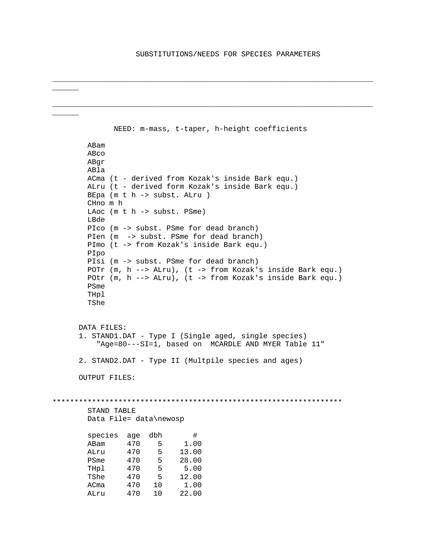\_\_\_\_\_\_\_\_\_\_\_\_\_\_\_\_\_\_\_\_\_\_\_\_\_\_\_\_\_\_\_\_\_\_\_\_\_\_\_\_\_\_\_\_\_\_\_\_\_\_\_\_\_\_\_\_\_\_\_\_\_\_\_\_\_\_\_\_\_\_\_\_\_

\_\_\_\_\_\_\_\_\_\_\_\_\_\_\_\_\_\_\_\_\_\_\_\_\_\_\_\_\_\_\_\_\_\_\_\_\_\_\_\_\_\_\_\_\_\_\_\_\_\_\_\_\_\_\_\_\_\_\_\_\_\_\_\_\_\_\_\_\_\_\_\_\_

\_\_\_\_\_\_

\_\_\_\_\_\_

```
 NEED: m-mass, t-taper, h-height coefficients
         ABam 
         ABco 
         ABgr 
         ABla 
        ACma (t - derived from Kozak's inside Bark equ.)
         ALru (t - derived form Kozak's inside Bark equ.)
         BEpa (m t h -> subst. ALru )
         CHno m h
         LAoc (m t h -> subst. PSme)
         LBde 
         PIco (m -> subst. PSme for dead branch)
        PIen (m -> subst. PSme for dead branch)
         PImo (t -> from Kozak's inside Bark equ.) 
         PIpo 
         PIsi (m -> subst. PSme for dead branch)
         POTr (m, h --> ALru), (t -> from Kozak's inside Bark equ.)
         POtr (m, h --> ALru), (t -> from Kozak's inside Bark equ.)
         PSme 
         THpl 
         TShe 
       DATA FILES:
       1. STAND1.DAT - Type I (Single aged, single species)
           "Age=80---SI=1, based on MCARDLE AND MYER Table 11"
       2. STAND2.DAT - Type II (Multpile species and ages)
       OUTPUT FILES:
******************************************************************
         STAND TABLE
         Data File= data\newosp 
         species age dbh #
 ABam 470 5 1.00
        ALru 470 5 13.00<br>PSme 470 5 28.00
                 470 5 28.00<br>470 5 5.00
        THpl 470 5 5.00<br>TShe 470 5 12.00
                 470 5 12.00<br>470 10 1.00
        ACma 470 10 1.00<br>ALru 470 10 22.00
 ALru 470 10 22.00
```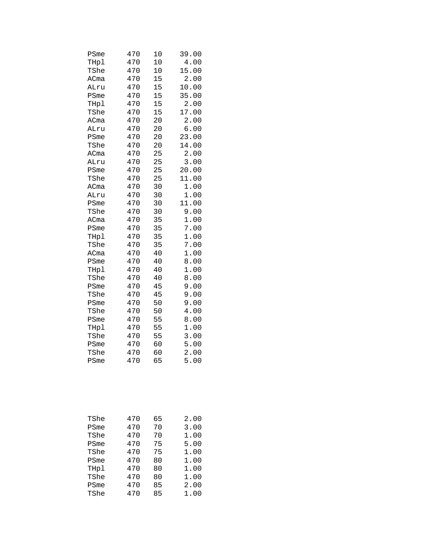| 470 | 10                       | 39.00          |
|-----|--------------------------|----------------|
| 470 | 10                       | 4.00           |
| 470 | 10                       | 15.00          |
| 470 | 15                       | 2.00           |
| 470 | 15                       | 10.00          |
| 470 | 15                       | 35.00          |
| 470 | 15                       | 2.00           |
| 470 | 15                       | 17.00          |
| 470 | 20                       | 2.00           |
| 470 | 20                       | 6.00           |
| 470 | 20                       | 23.00          |
| 470 | 20                       | 14.00          |
| 470 | 25                       | 2.00           |
| 470 | 25                       | 3.00           |
| 470 | 25                       | 20.00          |
| 470 | 25                       | 11.00          |
| 470 | 30                       | 1.00           |
| 470 | 30                       | 1.00           |
| 470 | 30                       | 11.00          |
| 470 | 30                       | 9.00           |
| 470 | 35                       | 1.00           |
| 470 | 35                       | 7.00           |
| 470 | 35                       | 1.00           |
| 470 |                          | 7.00           |
| 470 | 40                       | 1.00           |
| 470 | 40                       | 8.00           |
| 470 | 40                       | 1.00           |
| 470 | 40                       | 8.00           |
|     | 45                       | 9.00           |
| 470 | 45                       | 9.00           |
|     | 50                       | 9.00           |
| 470 | 50                       | 4.00           |
|     | 55                       | 8.00           |
|     |                          | 1.00           |
| 470 |                          | 3.00           |
| 470 | 60                       | 5.00           |
| 470 | 60                       | 2.00           |
| 470 | 65                       | 5.00           |
|     | 470<br>470<br>470<br>470 | 35<br>55<br>55 |

| TShe | 470 | 65 | 2.00 |
|------|-----|----|------|
| PSme | 470 | 70 | 3.00 |
| TShe | 470 | 70 | 1.00 |
| PSme | 470 | 75 | 5.00 |
| TShe | 470 | 75 | 1.00 |
| PSme | 470 | 80 | 1.00 |
| THpl | 470 | 80 | 1.00 |
| TShe | 470 | 80 | 1.00 |
| PSme | 470 | 85 | 2.00 |
| TShe | 470 | 85 | 1.00 |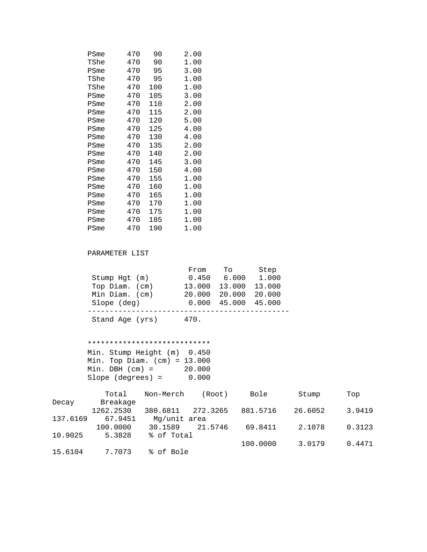| PSme | 470 | 90  | 2.00 |
|------|-----|-----|------|
| TShe | 470 | 90  | 1.00 |
| PSme | 470 | 95  | 3.00 |
| TShe | 470 | 95  | 1.00 |
| TShe | 470 | 100 | 1.00 |
| PSme | 470 | 105 | 3.00 |
| PSme | 470 | 110 | 2.00 |
| PSme | 470 | 115 | 2.00 |
| PSme | 470 | 120 | 5.00 |
| PSme | 470 | 125 | 4.00 |
| PSme | 470 | 130 | 4.00 |
| PSme | 470 | 135 | 2.00 |
| PSme | 470 | 140 | 2.00 |
| PSme | 470 | 145 | 3.00 |
| PSme | 470 | 150 | 4.00 |
| PSme | 470 | 155 | 1.00 |
| PSme | 470 | 160 | 1.00 |
| PSme | 470 | 165 | 1.00 |
| PSme | 470 | 170 | 1.00 |
| PSme | 470 | 175 | 1.00 |
| PSme | 470 | 185 | 1.00 |
| PSme | 470 | 190 | 1.00 |
|      |     |     |      |

# PARAMETER LIST

|                     | From   | To     | Step   |
|---------------------|--------|--------|--------|
| $Stump$ $Hqt$ $(m)$ | 0.450  | 6.000  | 1.000  |
| Top Diam. (cm)      | 13,000 | 13.000 | 13.000 |
| Min Diam. (cm)      | 20,000 | 20.000 | 20,000 |
| Slope (deg)         | 0.000  | 45.000 | 45.000 |
| Stand Age (yrs)     | 470.   |        |        |

### \*\*\*\*\*\*\*\*\*\*\*\*\*\*\*\*\*\*\*\*\*\*\*\*\*\*\*\*

 Min. Stump Height (m) 0.450 Min. Top Diam. (cm) = 13.000 Min. DBH (cm) = 20.000 Slope (degrees) = 0.000

|          | Total     | Non-Merch    | (Root)   | Bole     | Stump   | Top    |
|----------|-----------|--------------|----------|----------|---------|--------|
| Decay    | Breakage  |              |          |          |         |        |
|          | 1262.2530 | 380.6811     | 272.3265 | 881.5716 | 26.6052 | 3.9419 |
| 137.6169 | 67.9451   | Mg/unit area |          |          |         |        |
|          | 100.0000  | 30.1589      | 21.5746  | 69.8411  | 2.1078  | 0.3123 |
| 10.9025  | 5.3828    | % of Total   |          |          |         |        |
|          |           |              |          | 100,0000 | 3.0179  | 0.4471 |
| 15.6104  | 7.7073    | % of Bole    |          |          |         |        |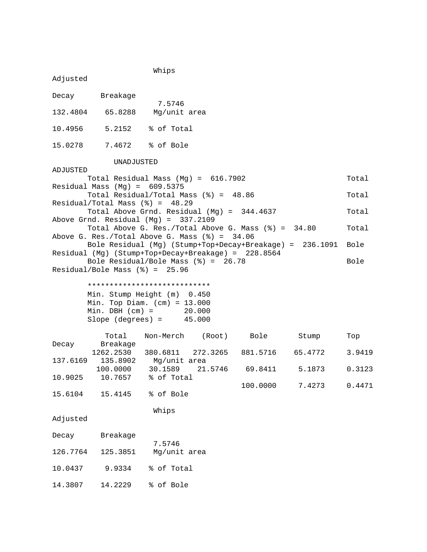Whips Adjusted Decay Breakage 7.5746<br>132.4804 65.8288 Mg/unit Mg/unit area 10.4956 5.2152 % of Total 15.0278 7.4672 % of Bole UNADJUSTED ADJUSTED Total Residual Mass (Mg) = 616.7902 Total Residual Mass (Mg) = 609.5375 Total Residual/Total Mass (%) = 48.86 Total Residual/Total Mass (%) = 48.29 Total Above Grnd. Residual (Mg) = 344.4637 Total Above Grnd. Residual (Mg) = 337.2109 Total Above G. Res./Total Above G. Mass (%) = 34.80 Total Above G. Res./Total Above G. Mass (%) = 34.06 Bole Residual (Mg) (Stump+Top+Decay+Breakage) = 236.1091 Bole Residual (Mg) (Stump+Top+Decay+Breakage) = 228.8564 Bole Residual/Bole Mass  $(%) = 26.78$  Bole Residual/Bole Mass (%) = 25.96

#### \*\*\*\*\*\*\*\*\*\*\*\*\*\*\*\*\*\*\*\*\*\*\*\*\*\*\*\*

 Min. Stump Height (m) 0.450 Min. Top Diam. (cm) = 13.000 Min. DBH (cm) = 20.000 Slope (degrees) = 45.000

|          | Total     | Non-Merch         | (Root)  | Bole     | Stump   | Top    |
|----------|-----------|-------------------|---------|----------|---------|--------|
| Decay    | Breakage  |                   |         |          |         |        |
|          | 1262.2530 | 380.6811 272.3265 |         | 881.5716 | 65.4772 | 3.9419 |
| 137.6169 | 135.8902  | Mg/unit area      |         |          |         |        |
|          | 100.0000  | 30.1589           | 21.5746 | 69.8411  | 5.1873  | 0.3123 |
| 10.9025  | 10.7657   | % of Total        |         |          |         |        |
|          |           |                   |         | 100.0000 | 7.4273  | 0.4471 |
| 15.6104  | 15.4145   | % of Bole         |         |          |         |        |
|          |           |                   |         |          |         |        |
|          |           | Whips             |         |          |         |        |
| Adjusted |           |                   |         |          |         |        |
|          |           |                   |         |          |         |        |
| Decay    | Breakage  |                   |         |          |         |        |
|          |           | 7.5746            |         |          |         |        |
| 126.7764 | 125.3851  | Mg/unit area      |         |          |         |        |
| 10.0437  | 9.9334    | % of Total        |         |          |         |        |
|          |           |                   |         |          |         |        |
| 14.3807  | 14.2229   | % of Bole         |         |          |         |        |
|          |           |                   |         |          |         |        |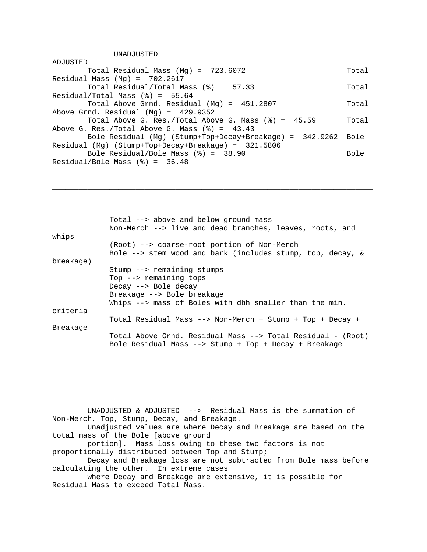UNADJUSTED

\_\_\_\_\_\_

| ADJUSTED                                                               |       |
|------------------------------------------------------------------------|-------|
| Total Residual Mass $(Mg) = 723.6072$                                  | Total |
| Residual Mass (Mg) = $702.2617$                                        |       |
| Total Residual/Total Mass $(\text{}) = 57.33$                          | Total |
| Residual/Total Mass $(*) = 55.64$                                      |       |
| Total Above Grnd. Residual (Mg) = 451.2807                             | Total |
| Above Grnd. Residual $(Mg) = 429.9352$                                 |       |
| Total Above G. Res./Total Above G. Mass $(\text{\textdegree})$ = 45.59 | Total |
| Above G. Res./Total Above G. Mass $(\frac{1}{2}) = 43.43$              |       |
| Bole Residual (Mg) (Stump+Top+Decay+Breakage) = 342.9262 Bole          |       |
| Residual (Mg) (Stump+Top+Decay+Breakage) = 321.5806                    |       |
| Bole Residual/Bole Mass $(\text{}) = 38.90$                            | Bole  |
| Residual/Bole Mass $(\text{\%}) = 36.48$                               |       |

\_\_\_\_\_\_\_\_\_\_\_\_\_\_\_\_\_\_\_\_\_\_\_\_\_\_\_\_\_\_\_\_\_\_\_\_\_\_\_\_\_\_\_\_\_\_\_\_\_\_\_\_\_\_\_\_\_\_\_\_\_\_\_\_\_\_\_\_\_\_\_\_\_

|           | Total --> above and below ground mass<br>Non-Merch --> live and dead branches, leaves, roots, and                    |  |  |  |  |  |  |  |  |  |  |
|-----------|----------------------------------------------------------------------------------------------------------------------|--|--|--|--|--|--|--|--|--|--|
| whips     | (Root) --> coarse-root portion of Non-Merch<br>Bole $\leftarrow$ stem wood and bark (includes stump, top, decay, &   |  |  |  |  |  |  |  |  |  |  |
| breakage) |                                                                                                                      |  |  |  |  |  |  |  |  |  |  |
|           | Stump --> remaining stumps                                                                                           |  |  |  |  |  |  |  |  |  |  |
|           | Top --> remaining tops                                                                                               |  |  |  |  |  |  |  |  |  |  |
|           | Decay --> Bole decay                                                                                                 |  |  |  |  |  |  |  |  |  |  |
|           | Breakage --> Bole breakage                                                                                           |  |  |  |  |  |  |  |  |  |  |
|           | Whips --> mass of Boles with dbh smaller than the min.                                                               |  |  |  |  |  |  |  |  |  |  |
| criteria  |                                                                                                                      |  |  |  |  |  |  |  |  |  |  |
|           | Total Residual Mass --> Non-Merch + Stump + Top + Decay +                                                            |  |  |  |  |  |  |  |  |  |  |
| Breakage  |                                                                                                                      |  |  |  |  |  |  |  |  |  |  |
|           | Total Above Grnd. Residual Mass --> Total Residual - (Root)<br>Bole Residual Mass --> Stump + Top + Decay + Breakage |  |  |  |  |  |  |  |  |  |  |

 UNADJUSTED & ADJUSTED --> Residual Mass is the summation of Non-Merch, Top, Stump, Decay, and Breakage.

 Unadjusted values are where Decay and Breakage are based on the total mass of the Bole [above ground

 portion]. Mass loss owing to these two factors is not proportionally distributed between Top and Stump;

 Decay and Breakage loss are not subtracted from Bole mass before calculating the other. In extreme cases

 where Decay and Breakage are extensive, it is possible for Residual Mass to exceed Total Mass.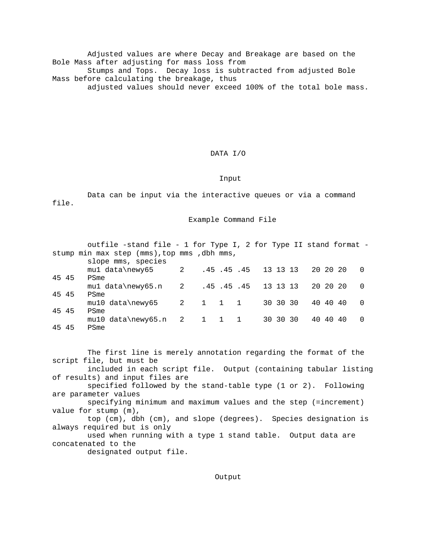Adjusted values are where Decay and Breakage are based on the Bole Mass after adjusting for mass loss from Stumps and Tops. Decay loss is subtracted from adjusted Bole Mass before calculating the breakage, thus adjusted values should never exceed 100% of the total bole mass.

DATA I/O

Input

 Data can be input via the interactive queues or via a command file.

Example Command File

|       | outfile -stand file - 1 for Type I, 2 for Type II stand format - |                         |       |  |                    |          |          |          |          |
|-------|------------------------------------------------------------------|-------------------------|-------|--|--------------------|----------|----------|----------|----------|
|       | stump min max step (mms), top mms, dbh mms,                      |                         |       |  |                    |          |          |          |          |
|       | slope mms, species                                               |                         |       |  |                    |          |          |          |          |
|       | mul data\newy65                                                  | $\overline{\mathbf{c}}$ |       |  | .45.45.45 13 13 13 |          | 20 20 20 |          |          |
| 45 45 | PSme                                                             |                         |       |  |                    |          |          |          |          |
|       | mul data\newy65.n 2                                              |                         |       |  | .45.45.45 13 13 13 |          |          | 20 20 20 |          |
| 45 45 | PSme                                                             |                         |       |  |                    |          |          |          |          |
|       | $mu10 data \newcommand{\so}{\odot} 5$ 2 1 1 1                    |                         |       |  |                    | 30 30 30 |          | 40 40 40 | $\Omega$ |
| 45 45 | PSme                                                             |                         |       |  |                    |          |          |          |          |
|       | $mu10 data \newcommand{\mss}{\mss}{\mssim}$ ata mewy 65. n 2     |                         | 1 1 1 |  |                    | 30 30 30 |          | 40 40 40 | $\Omega$ |
| 45 45 | PSme                                                             |                         |       |  |                    |          |          |          |          |

 The first line is merely annotation regarding the format of the script file, but must be included in each script file. Output (containing tabular listing of results) and input files are specified followed by the stand-table type (1 or 2). Following are parameter values specifying minimum and maximum values and the step (=increment) value for stump (m), top (cm), dbh (cm), and slope (degrees). Species designation is always required but is only used when running with a type 1 stand table. Output data are concatenated to the designated output file.

Output